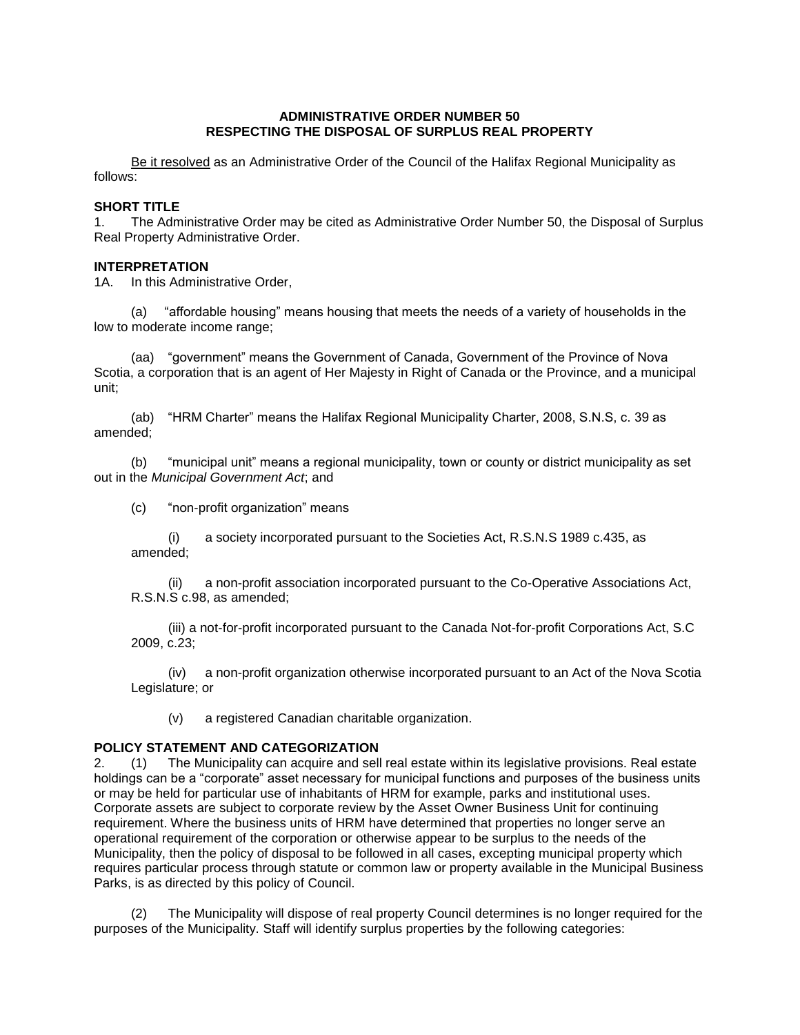### **ADMINISTRATIVE ORDER NUMBER 50 RESPECTING THE DISPOSAL OF SURPLUS REAL PROPERTY**

Be it resolved as an Administrative Order of the Council of the Halifax Regional Municipality as follows:

# **SHORT TITLE**

1. The Administrative Order may be cited as Administrative Order Number 50, the Disposal of Surplus Real Property Administrative Order.

# **INTERPRETATION**

1A. In this Administrative Order,

(a) "affordable housing" means housing that meets the needs of a variety of households in the low to moderate income range;

(aa) "government" means the Government of Canada, Government of the Province of Nova Scotia, a corporation that is an agent of Her Majesty in Right of Canada or the Province, and a municipal unit;

(ab) "HRM Charter" means the Halifax Regional Municipality Charter, 2008, S.N.S, c. 39 as amended;

(b) "municipal unit" means a regional municipality, town or county or district municipality as set out in the *Municipal Government Act*; and

(c) "non-profit organization" means

(i) a society incorporated pursuant to the Societies Act, R.S.N.S 1989 c.435, as amended;

(ii) a non-profit association incorporated pursuant to the Co-Operative Associations Act, R.S.N.S c.98, as amended;

(iii) a not-for-profit incorporated pursuant to the Canada Not-for-profit Corporations Act, S.C 2009, c.23;

(iv) a non-profit organization otherwise incorporated pursuant to an Act of the Nova Scotia Legislature; or

(v) a registered Canadian charitable organization.

# **POLICY STATEMENT AND CATEGORIZATION**

2. (1) The Municipality can acquire and sell real estate within its legislative provisions. Real estate holdings can be a "corporate" asset necessary for municipal functions and purposes of the business units or may be held for particular use of inhabitants of HRM for example, parks and institutional uses. Corporate assets are subject to corporate review by the Asset Owner Business Unit for continuing requirement. Where the business units of HRM have determined that properties no longer serve an operational requirement of the corporation or otherwise appear to be surplus to the needs of the Municipality, then the policy of disposal to be followed in all cases, excepting municipal property which requires particular process through statute or common law or property available in the Municipal Business Parks, is as directed by this policy of Council.

(2) The Municipality will dispose of real property Council determines is no longer required for the purposes of the Municipality. Staff will identify surplus properties by the following categories: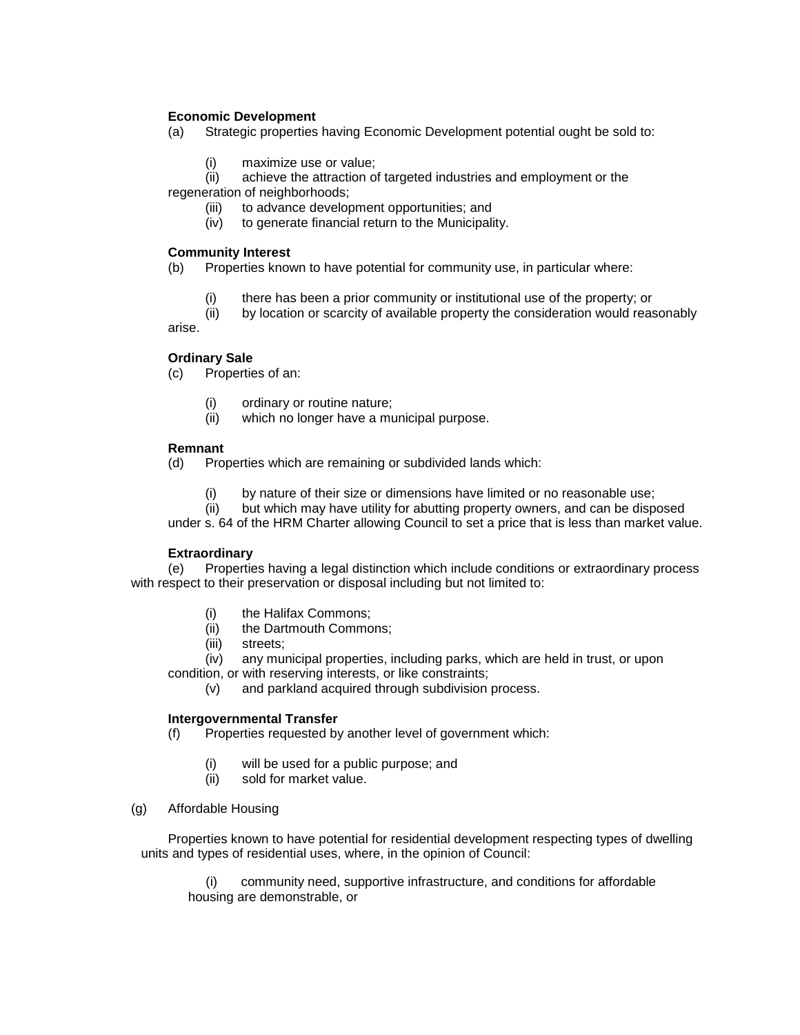# **Economic Development**

(a) Strategic properties having Economic Development potential ought be sold to:

(i) maximize use or value;

(ii) achieve the attraction of targeted industries and employment or the regeneration of neighborhoods;

- (iii) to advance development opportunities; and
- (iv) to generate financial return to the Municipality.

# **Community Interest**

(b) Properties known to have potential for community use, in particular where:

- (i) there has been a prior community or institutional use of the property; or
- (ii) by location or scarcity of available property the consideration would reasonably arise.

# **Ordinary Sale**

(c) Properties of an:

- (i) ordinary or routine nature;
- (ii) which no longer have a municipal purpose.

# **Remnant**

- (d) Properties which are remaining or subdivided lands which:
	- (i) by nature of their size or dimensions have limited or no reasonable use;

(ii) but which may have utility for abutting property owners, and can be disposed under s. 64 of the HRM Charter allowing Council to set a price that is less than market value.

# **Extraordinary**

(e) Properties having a legal distinction which include conditions or extraordinary process with respect to their preservation or disposal including but not limited to:

- (i) the Halifax Commons;
- (ii) the Dartmouth Commons;
- (iii) streets;

(iv) any municipal properties, including parks, which are held in trust, or upon condition, or with reserving interests, or like constraints;

(v) and parkland acquired through subdivision process.

# **Intergovernmental Transfer**

- (f) Properties requested by another level of government which:
	- (i) will be used for a public purpose; and
	- (ii) sold for market value.
- (g) Affordable Housing

Properties known to have potential for residential development respecting types of dwelling units and types of residential uses, where, in the opinion of Council:

(i) community need, supportive infrastructure, and conditions for affordable housing are demonstrable, or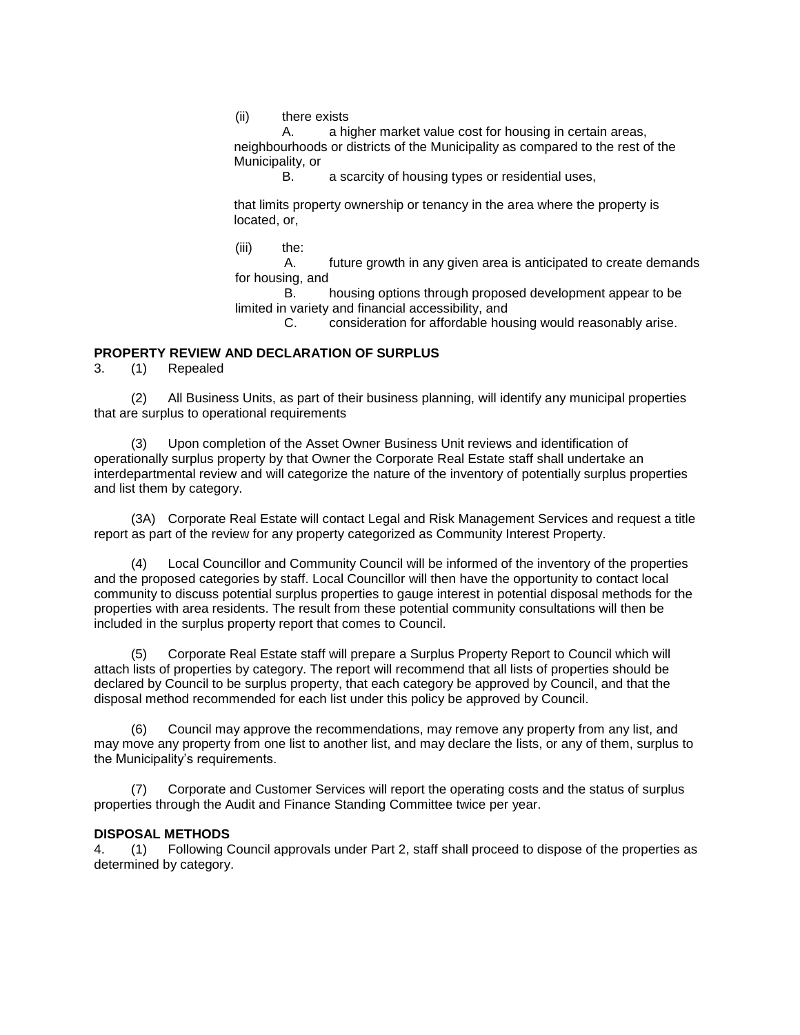(ii) there exists

A. a higher market value cost for housing in certain areas, neighbourhoods or districts of the Municipality as compared to the rest of the Municipality, or

B. a scarcity of housing types or residential uses,

that limits property ownership or tenancy in the area where the property is located, or,

(iii) the:

A. future growth in any given area is anticipated to create demands for housing, and

B. housing options through proposed development appear to be limited in variety and financial accessibility, and

C. consideration for affordable housing would reasonably arise.

# **PROPERTY REVIEW AND DECLARATION OF SURPLUS**

3. (1) Repealed

(2) All Business Units, as part of their business planning, will identify any municipal properties that are surplus to operational requirements

(3) Upon completion of the Asset Owner Business Unit reviews and identification of operationally surplus property by that Owner the Corporate Real Estate staff shall undertake an interdepartmental review and will categorize the nature of the inventory of potentially surplus properties and list them by category.

(3A) Corporate Real Estate will contact Legal and Risk Management Services and request a title report as part of the review for any property categorized as Community Interest Property.

(4) Local Councillor and Community Council will be informed of the inventory of the properties and the proposed categories by staff. Local Councillor will then have the opportunity to contact local community to discuss potential surplus properties to gauge interest in potential disposal methods for the properties with area residents. The result from these potential community consultations will then be included in the surplus property report that comes to Council.

(5) Corporate Real Estate staff will prepare a Surplus Property Report to Council which will attach lists of properties by category. The report will recommend that all lists of properties should be declared by Council to be surplus property, that each category be approved by Council, and that the disposal method recommended for each list under this policy be approved by Council.

(6) Council may approve the recommendations, may remove any property from any list, and may move any property from one list to another list, and may declare the lists, or any of them, surplus to the Municipality's requirements.

(7) Corporate and Customer Services will report the operating costs and the status of surplus properties through the Audit and Finance Standing Committee twice per year.

#### **DISPOSAL METHODS**

4. (1) Following Council approvals under Part 2, staff shall proceed to dispose of the properties as determined by category.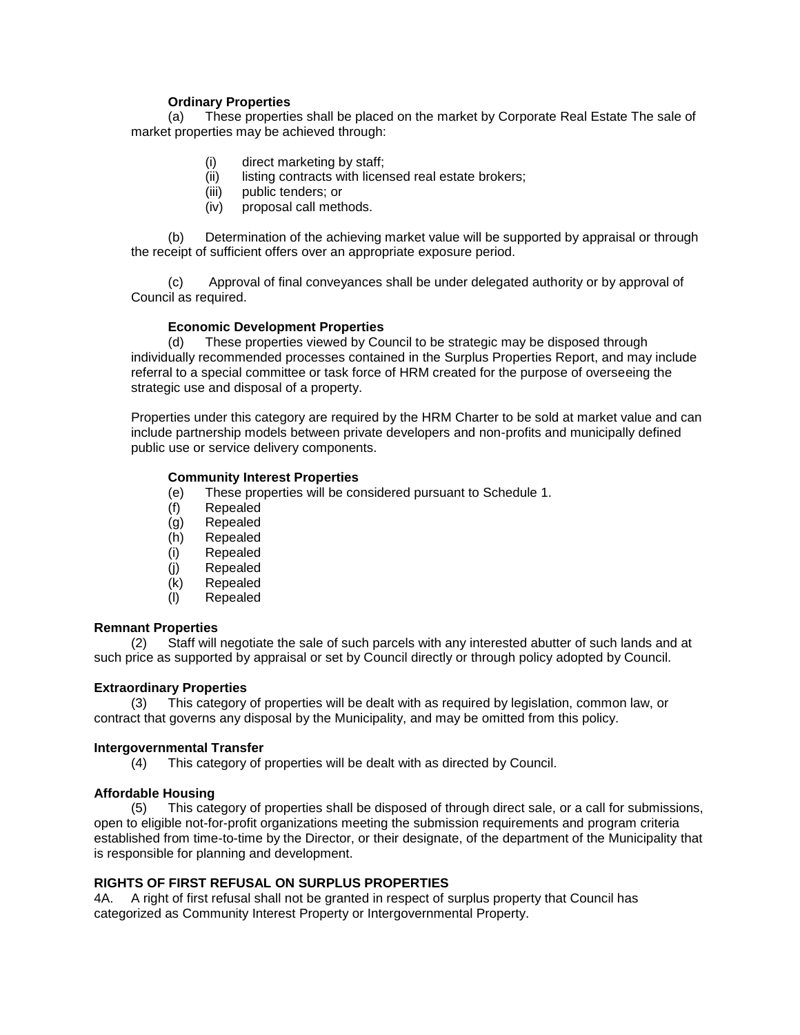# **Ordinary Properties**

(a) These properties shall be placed on the market by Corporate Real Estate The sale of market properties may be achieved through:

- (i) direct marketing by staff;
- (ii) listing contracts with licensed real estate brokers;
- (iii) public tenders; or
- (iv) proposal call methods.

(b) Determination of the achieving market value will be supported by appraisal or through the receipt of sufficient offers over an appropriate exposure period.

(c) Approval of final conveyances shall be under delegated authority or by approval of Council as required.

# **Economic Development Properties**

(d) These properties viewed by Council to be strategic may be disposed through individually recommended processes contained in the Surplus Properties Report, and may include referral to a special committee or task force of HRM created for the purpose of overseeing the strategic use and disposal of a property.

Properties under this category are required by the HRM Charter to be sold at market value and can include partnership models between private developers and non-profits and municipally defined public use or service delivery components.

### **Community Interest Properties**

- (e) These properties will be considered pursuant to Schedule 1.
- (f) Repealed
- (g) Repealed
- (h) Repealed
- (i) Repealed
- (j) Repealed
- (k) Repealed
- (l) Repealed

# **Remnant Properties**

(2) Staff will negotiate the sale of such parcels with any interested abutter of such lands and at such price as supported by appraisal or set by Council directly or through policy adopted by Council.

# **Extraordinary Properties**

(3) This category of properties will be dealt with as required by legislation, common law, or contract that governs any disposal by the Municipality, and may be omitted from this policy.

# **Intergovernmental Transfer**

(4) This category of properties will be dealt with as directed by Council.

# **Affordable Housing**

(5) This category of properties shall be disposed of through direct sale, or a call for submissions, open to eligible not-for-profit organizations meeting the submission requirements and program criteria established from time-to-time by the Director, or their designate, of the department of the Municipality that is responsible for planning and development.

# **RIGHTS OF FIRST REFUSAL ON SURPLUS PROPERTIES**

4A. A right of first refusal shall not be granted in respect of surplus property that Council has categorized as Community Interest Property or Intergovernmental Property.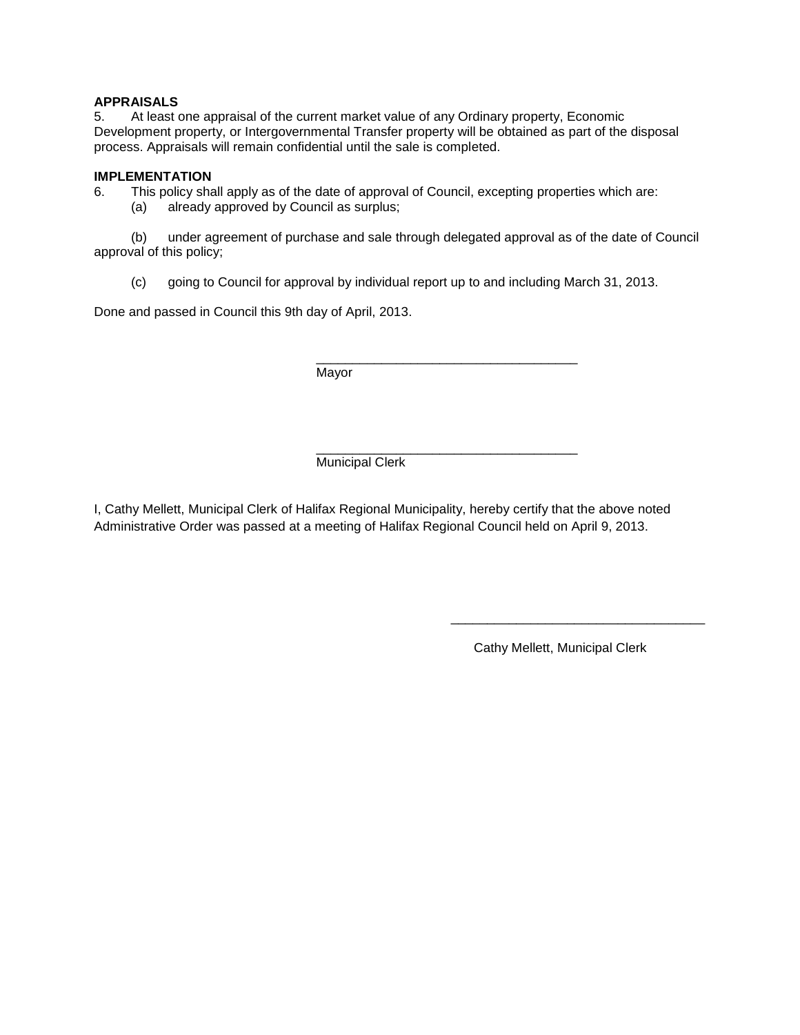# **APPRAISALS**

5. At least one appraisal of the current market value of any Ordinary property, Economic Development property, or Intergovernmental Transfer property will be obtained as part of the disposal process. Appraisals will remain confidential until the sale is completed.

# **IMPLEMENTATION**

6. This policy shall apply as of the date of approval of Council, excepting properties which are:

(a) already approved by Council as surplus;

(b) under agreement of purchase and sale through delegated approval as of the date of Council approval of this policy;

(c) going to Council for approval by individual report up to and including March 31, 2013.

\_\_\_\_\_\_\_\_\_\_\_\_\_\_\_\_\_\_\_\_\_\_\_\_\_\_\_\_\_\_\_\_\_\_\_\_

Done and passed in Council this 9th day of April, 2013.

Mayor

\_\_\_\_\_\_\_\_\_\_\_\_\_\_\_\_\_\_\_\_\_\_\_\_\_\_\_\_\_\_\_\_\_\_\_\_ Municipal Clerk

I, Cathy Mellett, Municipal Clerk of Halifax Regional Municipality, hereby certify that the above noted Administrative Order was passed at a meeting of Halifax Regional Council held on April 9, 2013.

Cathy Mellett, Municipal Clerk

\_\_\_\_\_\_\_\_\_\_\_\_\_\_\_\_\_\_\_\_\_\_\_\_\_\_\_\_\_\_\_\_\_\_\_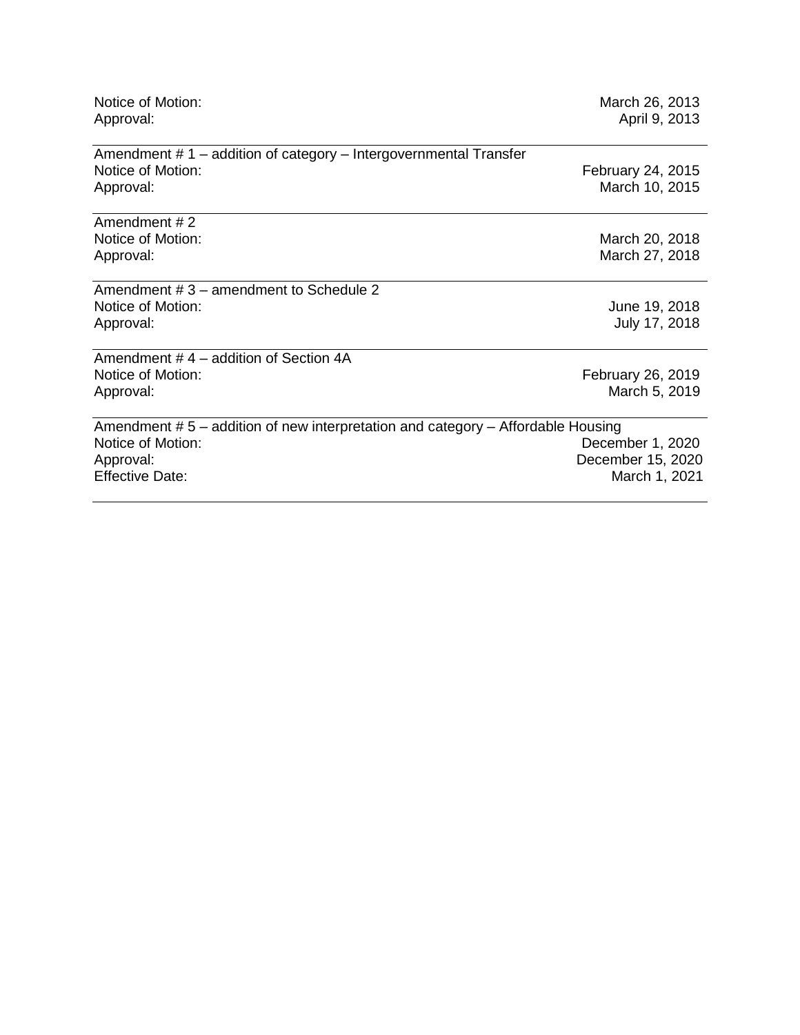| Notice of Motion:<br>Approval:                                                                                                              | March 26, 2013<br>April 9, 2013                        |
|---------------------------------------------------------------------------------------------------------------------------------------------|--------------------------------------------------------|
| Amendment $# 1$ – addition of category – Intergovernmental Transfer<br>Notice of Motion:<br>Approval:                                       | February 24, 2015<br>March 10, 2015                    |
| Amendment #2                                                                                                                                |                                                        |
| Notice of Motion:<br>Approval:                                                                                                              | March 20, 2018<br>March 27, 2018                       |
| Amendment # 3 – amendment to Schedule 2<br>Notice of Motion:<br>Approval:                                                                   | June 19, 2018<br>July 17, 2018                         |
| Amendment #4 - addition of Section 4A<br>Notice of Motion:<br>Approval:                                                                     | February 26, 2019<br>March 5, 2019                     |
| Amendment #5 – addition of new interpretation and category – Affordable Housing<br>Notice of Motion:<br>Approval:<br><b>Effective Date:</b> | December 1, 2020<br>December 15, 2020<br>March 1, 2021 |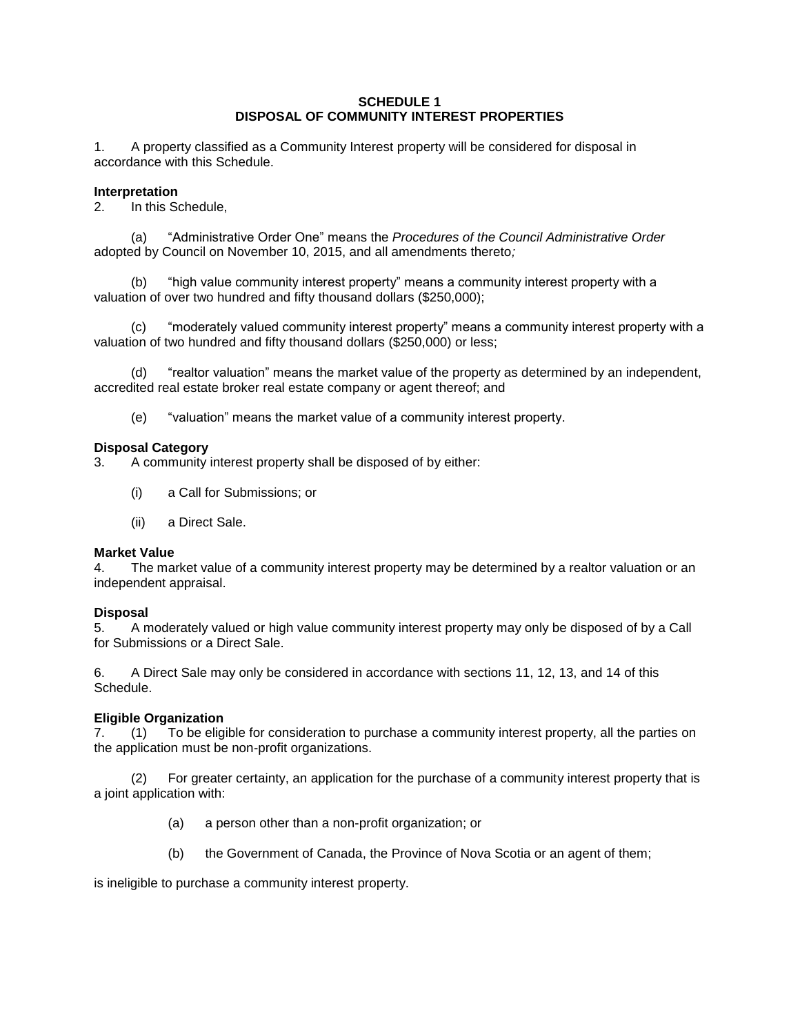# **SCHEDULE 1 DISPOSAL OF COMMUNITY INTEREST PROPERTIES**

1. A property classified as a Community Interest property will be considered for disposal in accordance with this Schedule.

# **Interpretation**

2. In this Schedule,

(a) "Administrative Order One" means the *Procedures of the Council Administrative Order*  adopted by Council on November 10, 2015, and all amendments thereto*;* 

(b) "high value community interest property" means a community interest property with a valuation of over two hundred and fifty thousand dollars (\$250,000);

(c) "moderately valued community interest property" means a community interest property with a valuation of two hundred and fifty thousand dollars (\$250,000) or less;

(d) "realtor valuation" means the market value of the property as determined by an independent, accredited real estate broker real estate company or agent thereof; and

(e) "valuation" means the market value of a community interest property.

# **Disposal Category**

3. A community interest property shall be disposed of by either:

- (i) a Call for Submissions; or
- (ii) a Direct Sale.

# **Market Value**

4. The market value of a community interest property may be determined by a realtor valuation or an independent appraisal.

# **Disposal**

5. A moderately valued or high value community interest property may only be disposed of by a Call for Submissions or a Direct Sale.

6. A Direct Sale may only be considered in accordance with sections 11, 12, 13, and 14 of this Schedule.

# **Eligible Organization**

7. (1) To be eligible for consideration to purchase a community interest property, all the parties on the application must be non-profit organizations.

(2) For greater certainty, an application for the purchase of a community interest property that is a joint application with:

- (a) a person other than a non-profit organization; or
- (b) the Government of Canada, the Province of Nova Scotia or an agent of them;

is ineligible to purchase a community interest property.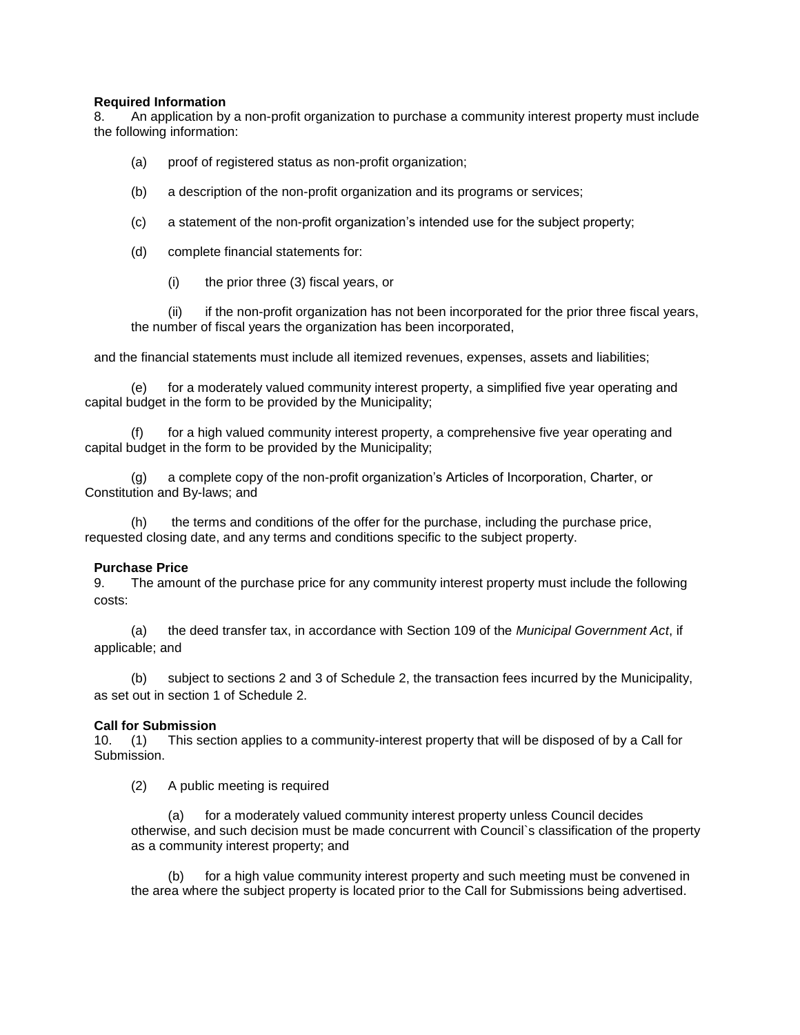# **Required Information**

8. An application by a non-profit organization to purchase a community interest property must include the following information:

- (a) proof of registered status as non-profit organization;
- (b) a description of the non-profit organization and its programs or services;
- (c) a statement of the non-profit organization's intended use for the subject property;
- (d) complete financial statements for:
	- (i) the prior three (3) fiscal years, or

(ii) if the non-profit organization has not been incorporated for the prior three fiscal years, the number of fiscal years the organization has been incorporated,

and the financial statements must include all itemized revenues, expenses, assets and liabilities;

(e) for a moderately valued community interest property, a simplified five year operating and capital budget in the form to be provided by the Municipality;

(f) for a high valued community interest property, a comprehensive five year operating and capital budget in the form to be provided by the Municipality;

(g) a complete copy of the non-profit organization's Articles of Incorporation, Charter, or Constitution and By-laws; and

(h) the terms and conditions of the offer for the purchase, including the purchase price, requested closing date, and any terms and conditions specific to the subject property.

# **Purchase Price**

9. The amount of the purchase price for any community interest property must include the following costs:

(a) the deed transfer tax, in accordance with Section 109 of the *Municipal Government Act*, if applicable; and

(b) subject to sections 2 and 3 of Schedule 2, the transaction fees incurred by the Municipality, as set out in section 1 of Schedule 2.

# **Call for Submission**

10. (1) This section applies to a community-interest property that will be disposed of by a Call for Submission.

(2) A public meeting is required

(a) for a moderately valued community interest property unless Council decides otherwise, and such decision must be made concurrent with Council`s classification of the property as a community interest property; and

for a high value community interest property and such meeting must be convened in the area where the subject property is located prior to the Call for Submissions being advertised.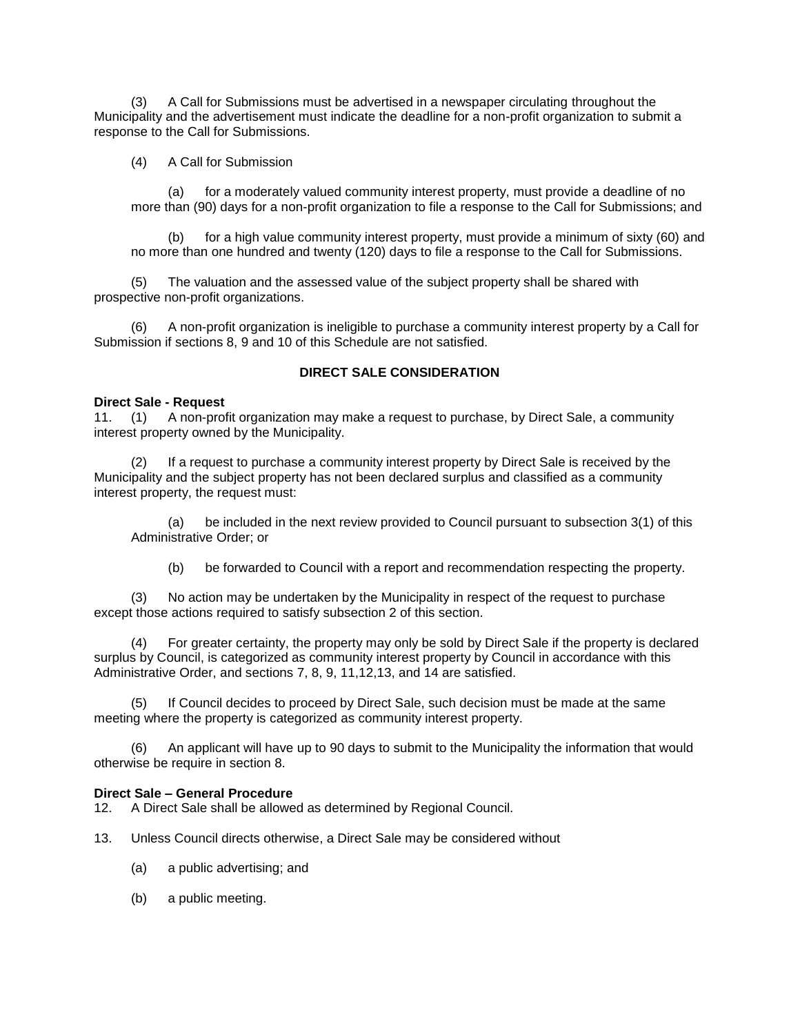(3) A Call for Submissions must be advertised in a newspaper circulating throughout the Municipality and the advertisement must indicate the deadline for a non-profit organization to submit a response to the Call for Submissions.

(4) A Call for Submission

(a) for a moderately valued community interest property, must provide a deadline of no more than (90) days for a non-profit organization to file a response to the Call for Submissions; and

(b) for a high value community interest property, must provide a minimum of sixty (60) and no more than one hundred and twenty (120) days to file a response to the Call for Submissions.

(5) The valuation and the assessed value of the subject property shall be shared with prospective non-profit organizations.

(6) A non-profit organization is ineligible to purchase a community interest property by a Call for Submission if sections 8, 9 and 10 of this Schedule are not satisfied.

# **DIRECT SALE CONSIDERATION**

### **Direct Sale - Request**

11. (1) A non-profit organization may make a request to purchase, by Direct Sale, a community interest property owned by the Municipality.

(2) If a request to purchase a community interest property by Direct Sale is received by the Municipality and the subject property has not been declared surplus and classified as a community interest property, the request must:

(a) be included in the next review provided to Council pursuant to subsection 3(1) of this Administrative Order; or

(b) be forwarded to Council with a report and recommendation respecting the property.

(3) No action may be undertaken by the Municipality in respect of the request to purchase except those actions required to satisfy subsection 2 of this section.

(4) For greater certainty, the property may only be sold by Direct Sale if the property is declared surplus by Council, is categorized as community interest property by Council in accordance with this Administrative Order, and sections 7, 8, 9, 11,12,13, and 14 are satisfied.

If Council decides to proceed by Direct Sale, such decision must be made at the same meeting where the property is categorized as community interest property.

(6) An applicant will have up to 90 days to submit to the Municipality the information that would otherwise be require in section 8.

#### **Direct Sale – General Procedure**

12. A Direct Sale shall be allowed as determined by Regional Council.

- 13. Unless Council directs otherwise, a Direct Sale may be considered without
	- (a) a public advertising; and
	- (b) a public meeting.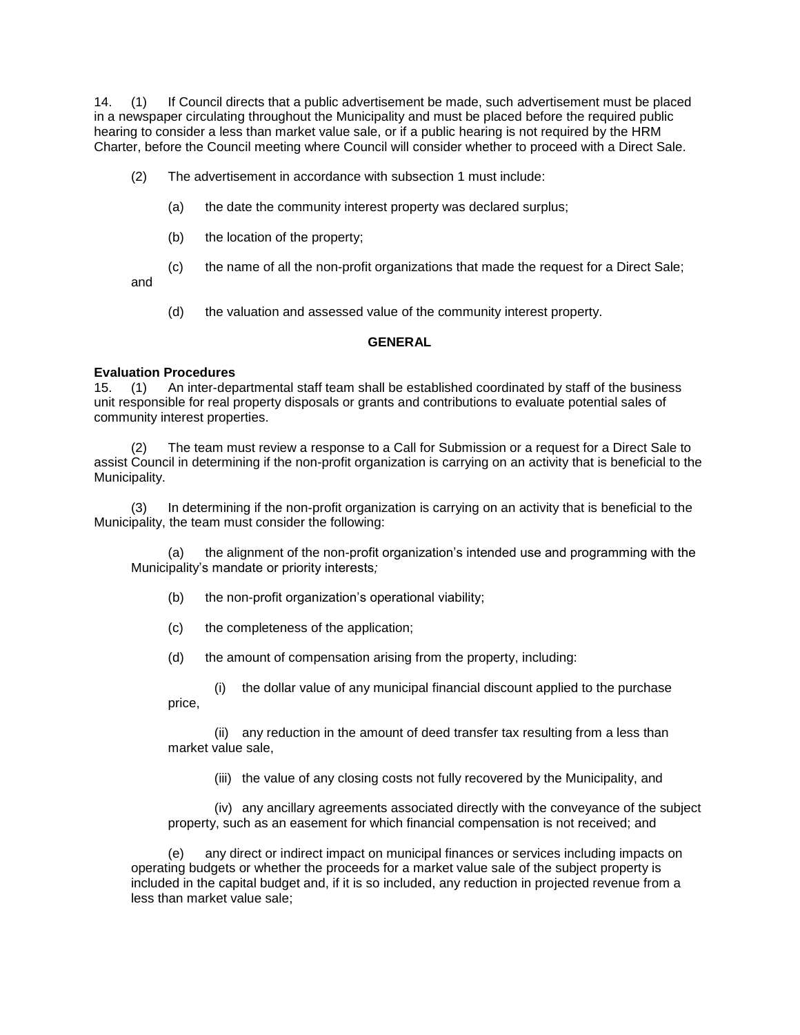14. (1) If Council directs that a public advertisement be made, such advertisement must be placed in a newspaper circulating throughout the Municipality and must be placed before the required public hearing to consider a less than market value sale, or if a public hearing is not required by the HRM Charter, before the Council meeting where Council will consider whether to proceed with a Direct Sale.

- (2) The advertisement in accordance with subsection 1 must include:
	- (a) the date the community interest property was declared surplus;
	- (b) the location of the property;
	- (c) the name of all the non-profit organizations that made the request for a Direct Sale;

and

(d) the valuation and assessed value of the community interest property.

# **GENERAL**

# **Evaluation Procedures**

15. (1) An inter-departmental staff team shall be established coordinated by staff of the business unit responsible for real property disposals or grants and contributions to evaluate potential sales of community interest properties.

(2) The team must review a response to a Call for Submission or a request for a Direct Sale to assist Council in determining if the non-profit organization is carrying on an activity that is beneficial to the Municipality.

(3) In determining if the non-profit organization is carrying on an activity that is beneficial to the Municipality, the team must consider the following:

(a) the alignment of the non-profit organization's intended use and programming with the Municipality's mandate or priority interests*;* 

- (b) the non-profit organization's operational viability;
- (c) the completeness of the application;
- (d) the amount of compensation arising from the property, including:
- (i) the dollar value of any municipal financial discount applied to the purchase price,

(ii) any reduction in the amount of deed transfer tax resulting from a less than market value sale,

(iii) the value of any closing costs not fully recovered by the Municipality, and

(iv) any ancillary agreements associated directly with the conveyance of the subject property, such as an easement for which financial compensation is not received; and

(e) any direct or indirect impact on municipal finances or services including impacts on operating budgets or whether the proceeds for a market value sale of the subject property is included in the capital budget and, if it is so included, any reduction in projected revenue from a less than market value sale;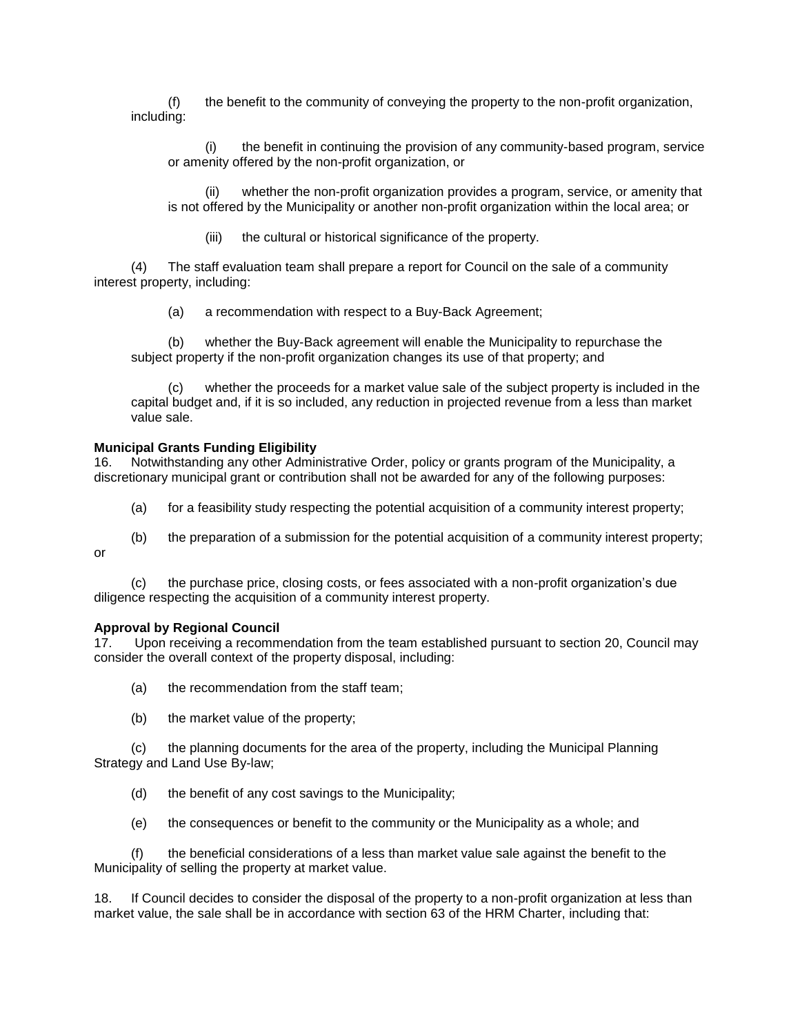(f) the benefit to the community of conveying the property to the non-profit organization, including:

(i) the benefit in continuing the provision of any community-based program, service or amenity offered by the non-profit organization, or

whether the non-profit organization provides a program, service, or amenity that is not offered by the Municipality or another non-profit organization within the local area; or

(iii) the cultural or historical significance of the property.

(4) The staff evaluation team shall prepare a report for Council on the sale of a community interest property, including:

(a) a recommendation with respect to a Buy-Back Agreement;

(b) whether the Buy-Back agreement will enable the Municipality to repurchase the subject property if the non-profit organization changes its use of that property; and

(c) whether the proceeds for a market value sale of the subject property is included in the capital budget and, if it is so included, any reduction in projected revenue from a less than market value sale.

### **Municipal Grants Funding Eligibility**

16. Notwithstanding any other Administrative Order, policy or grants program of the Municipality, a discretionary municipal grant or contribution shall not be awarded for any of the following purposes:

- (a) for a feasibility study respecting the potential acquisition of a community interest property;
- (b) the preparation of a submission for the potential acquisition of a community interest property; or

(c) the purchase price, closing costs, or fees associated with a non-profit organization's due diligence respecting the acquisition of a community interest property.

#### **Approval by Regional Council**

17. Upon receiving a recommendation from the team established pursuant to section 20, Council may consider the overall context of the property disposal, including:

- (a) the recommendation from the staff team;
- (b) the market value of the property;

(c) the planning documents for the area of the property, including the Municipal Planning Strategy and Land Use By-law;

- (d) the benefit of any cost savings to the Municipality;
- (e) the consequences or benefit to the community or the Municipality as a whole; and

(f) the beneficial considerations of a less than market value sale against the benefit to the Municipality of selling the property at market value.

18. If Council decides to consider the disposal of the property to a non-profit organization at less than market value, the sale shall be in accordance with section 63 of the HRM Charter, including that: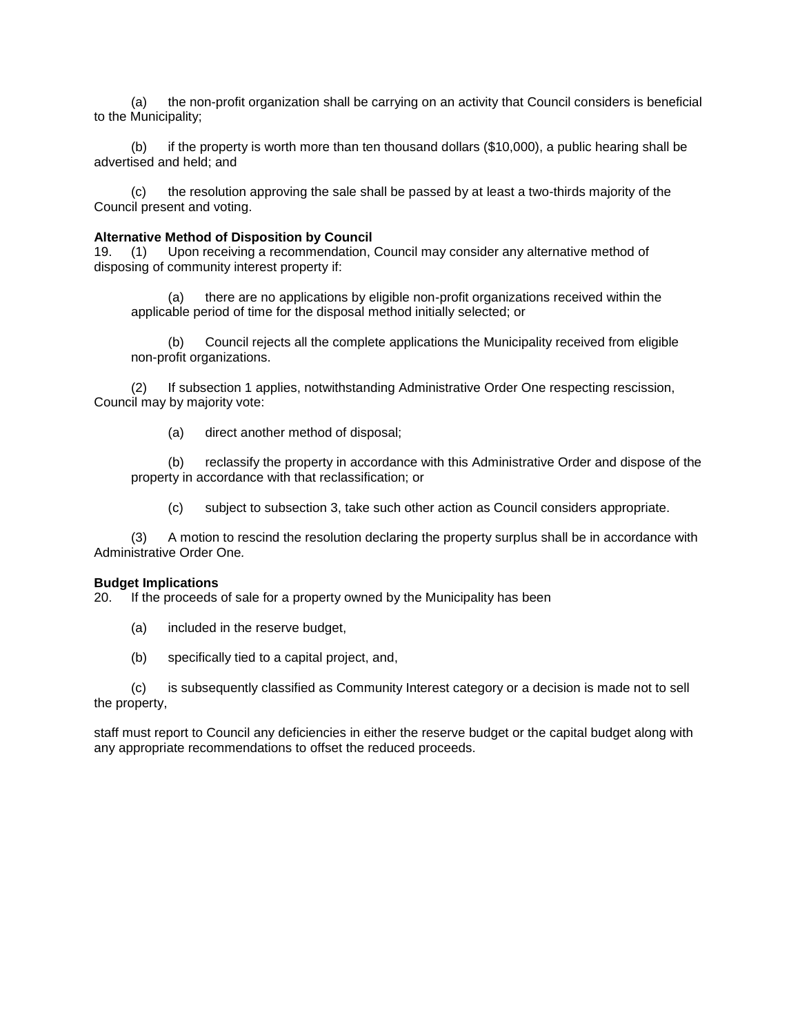(a) the non-profit organization shall be carrying on an activity that Council considers is beneficial to the Municipality;

(b) if the property is worth more than ten thousand dollars (\$10,000), a public hearing shall be advertised and held; and

(c) the resolution approving the sale shall be passed by at least a two-thirds majority of the Council present and voting.

# **Alternative Method of Disposition by Council**

19. (1) Upon receiving a recommendation, Council may consider any alternative method of disposing of community interest property if:

(a) there are no applications by eligible non-profit organizations received within the applicable period of time for the disposal method initially selected; or

(b) Council rejects all the complete applications the Municipality received from eligible non-profit organizations.

(2) If subsection 1 applies, notwithstanding Administrative Order One respecting rescission, Council may by majority vote:

(a) direct another method of disposal;

(b) reclassify the property in accordance with this Administrative Order and dispose of the property in accordance with that reclassification; or

(c) subject to subsection 3, take such other action as Council considers appropriate.

(3) A motion to rescind the resolution declaring the property surplus shall be in accordance with Administrative Order One*.* 

#### **Budget Implications**

20. If the proceeds of sale for a property owned by the Municipality has been

- (a) included in the reserve budget,
- (b) specifically tied to a capital project, and,

(c) is subsequently classified as Community Interest category or a decision is made not to sell the property,

staff must report to Council any deficiencies in either the reserve budget or the capital budget along with any appropriate recommendations to offset the reduced proceeds.